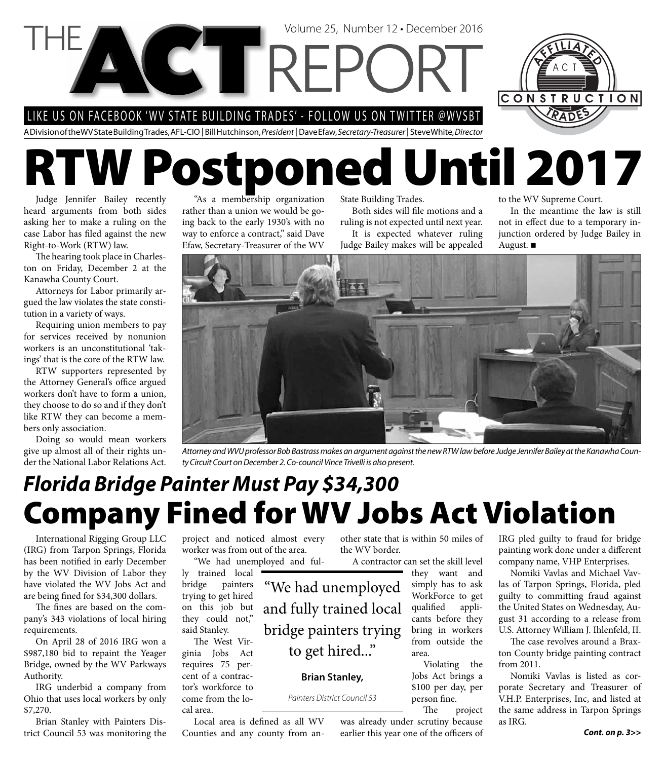LIKE US ON FACEBOOK 'WV STATE BUILDING TRADES' - FOLLOW US ON TWITTER @WVSBT

**CTTRFI** 

A Division of the WV State Building Trades, AFL-CIO | Bill Hutchinson, *President* | Dave Efaw, *Secretary-Treasurer* | Steve White, *Director*

# **RTW Postponed Until 2017**

Judge Jennifer Bailey recently heard arguments from both sides asking her to make a ruling on the case Labor has filed against the new Right-to-Work (RTW) law.

The hearing took place in Charleston on Friday, December 2 at the Kanawha County Court.

Attorneys for Labor primarily argued the law violates the state constitution in a variety of ways.

Requiring union members to pay for services received by nonunion workers is an unconstitutional 'takings' that is the core of the RTW law.

RTW supporters represented by the Attorney General's office argued workers don't have to form a union, they choose to do so and if they don't like RTW they can become a members only association.

Doing so would mean workers give up almost all of their rights under the National Labor Relations Act.

"As a membership organization rather than a union we would be going back to the early 1930's with no way to enforce a contract," said Dave Efaw, Secretary-Treasurer of the WV

State Building Trades.

Volume 25, Number 12 • December 2016

Both sides will file motions and a ruling is not expected until next year. It is expected whatever ruling Judge Bailey makes will be appealed

to the WV Supreme Court.

In the meantime the law is still not in effect due to a temporary injunction ordered by Judge Bailey in August.

CONSTRUCTION



*Attorney and WVU professor Bob Bastrass makes an argument against the new RTW law before Judge Jennifer Bailey at the Kanawha County Circuit Court on December 2. Co-council Vince Trivelli is also present.*

### **Company Fined for WV Jobs Act Violation** *Florida Bridge Painter Must Pay \$34,300*

to get hired..."

**Brian Stanley,**  *Painters District Council 53*

International Rigging Group LLC (IRG) from Tarpon Springs, Florida has been notified in early December by the WV Division of Labor they have violated the WV Jobs Act and are being fined for \$34,300 dollars.

The fines are based on the company's 343 violations of local hiring requirements.

On April 28 of 2016 IRG won a \$987,180 bid to repaint the Yeager Bridge, owned by the WV Parkways Authority.

IRG underbid a company from Ohio that uses local workers by only \$7,270.

Brian Stanley with Painters District Council 53 was monitoring the

project and noticed almost every worker was from out of the area. "We had unemployed and ful-

ly trained local bridge painters trying to get hired on this job but they could not," said Stanley.

The West Virginia Jobs Act requires 75 percent of a contractor's workforce to come from the local area.

Local area is defined as all WV Counties and any county from another state that is within 50 miles of the WV border.

A contractor can set the skill level they want and simply has to ask WorkForce to get qualified applicants before they bring in workers from outside the area. "We had unemployed and fully trained local bridge painters trying

Violating the Jobs Act brings a \$100 per day, per person fine.

The project was already under scrutiny because

earlier this year one of the officers of

IRG pled guilty to fraud for bridge painting work done under a different company name, VHP Enterprises.

Nomiki Vavlas and Michael Vavlas of Tarpon Springs, Florida, pled guilty to committing fraud against the United States on Wednesday, August 31 according to a release from U.S. Attorney William J. Ihlenfeld, II.

The case revolves around a Braxton County bridge painting contract from 2011.

Nomiki Vavlas is listed as corporate Secretary and Treasurer of V.H.P. Enterprises, Inc, and listed at the same address in Tarpon Springs as IRG.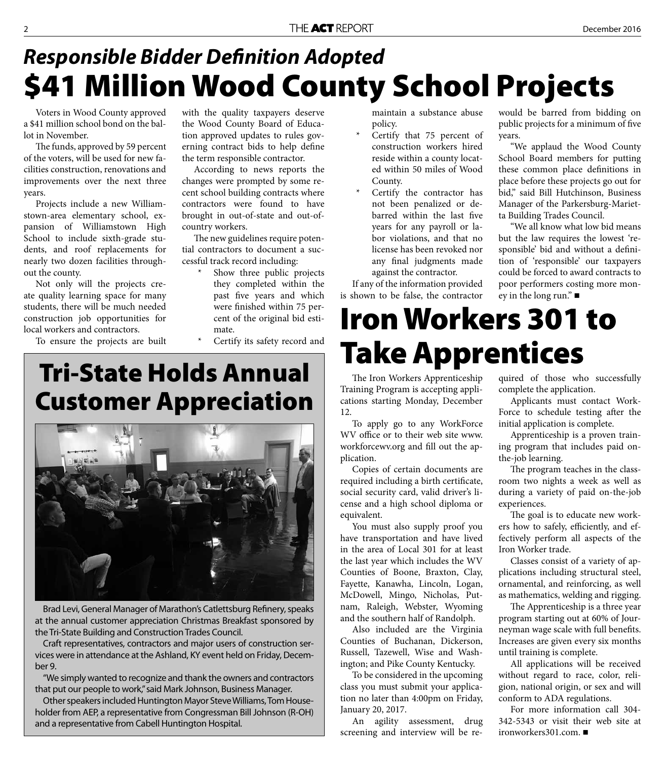### **\$41 Million Wood County School Projects Responsible Bidder Definition Adopted**

Voters in Wood County approved a \$41 million school bond on the ballot in November.

The funds, approved by 59 percent of the voters, will be used for new facilities construction, renovations and improvements over the next three years.

Projects include a new Williamstown-area elementary school, expansion of Williamstown High School to include sixth-grade students, and roof replacements for nearly two dozen facilities throughout the county.

Not only will the projects create quality learning space for many students, there will be much needed construction job opportunities for local workers and contractors.

To ensure the projects are built

with the quality taxpayers deserve the Wood County Board of Education approved updates to rules governing contract bids to help define the term responsible contractor.

According to news reports the changes were prompted by some recent school building contracts where contractors were found to have brought in out-of-state and out-ofcountry workers.

The new guidelines require potential contractors to document a successful track record including:

- Show three public projects they completed within the past five years and which were finished within 75 percent of the original bid estimate.
- Certify its safety record and

### **Tri-State Holds Annual Customer Appreciation**



Brad Levi, General Manager of Marathon's Catlettsburg Refinery, speaks at the annual customer appreciation Christmas Breakfast sponsored by the Tri-State Building and Construction Trades Council.

Craft representatives, contractors and major users of construction services were in attendance at the Ashland, KY event held on Friday, December 9.

"We simply wanted to recognize and thank the owners and contractors that put our people to work," said Mark Johnson, Business Manager.

Other speakers included Huntington Mayor Steve Williams, Tom Householder from AEP, a representative from Congressman Bill Johnson (R-OH) and a representative from Cabell Huntington Hospital.

maintain a substance abuse policy.

- Certify that 75 percent of construction workers hired reside within a county located within 50 miles of Wood County.
- Certify the contractor has not been penalized or debarred within the last five years for any payroll or labor violations, and that no license has been revoked nor any final judgments made against the contractor.

If any of the information provided is shown to be false, the contractor

would be barred from bidding on public projects for a minimum of five years.

"We applaud the Wood County School Board members for putting these common place definitions in place before these projects go out for bid," said Bill Hutchinson, Business Manager of the Parkersburg-Marietta Building Trades Council.

"We all know what low bid means but the law requires the lowest 'responsible' bid and without a definition of 'responsible' our taxpayers could be forced to award contracts to poor performers costing more money in the long run." $\blacksquare$ 

### **Iron Workers 301 to Take Apprentices**

The Iron Workers Apprenticeship Training Program is accepting applications starting Monday, December 12.

To apply go to any WorkForce WV office or to their web site www. workforcewv.org and fill out the application.

Copies of certain documents are required including a birth certificate, social security card, valid driver's license and a high school diploma or equivalent.

You must also supply proof you have transportation and have lived in the area of Local 301 for at least the last year which includes the WV Counties of Boone, Braxton, Clay, Fayette, Kanawha, Lincoln, Logan, McDowell, Mingo, Nicholas, Putnam, Raleigh, Webster, Wyoming and the southern half of Randolph.

Also included are the Virginia Counties of Buchanan, Dickerson, Russell, Tazewell, Wise and Washington; and Pike County Kentucky.

To be considered in the upcoming class you must submit your application no later than 4:00pm on Friday, January 20, 2017.

An agility assessment, drug screening and interview will be required of those who successfully complete the application.

Applicants must contact Work-Force to schedule testing after the initial application is complete.

Apprenticeship is a proven training program that includes paid onthe-job learning.

The program teaches in the classroom two nights a week as well as during a variety of paid on-the-job experiences.

The goal is to educate new workers how to safely, efficiently, and effectively perform all aspects of the Iron Worker trade.

Classes consist of a variety of applications including structural steel, ornamental, and reinforcing, as well as mathematics, welding and rigging.

The Apprenticeship is a three year program starting out at 60% of Journeyman wage scale with full benefits. Increases are given every six months until training is complete.

All applications will be received without regard to race, color, religion, national origin, or sex and will conform to ADA regulations.

For more information call 304- 342-5343 or visit their web site at ironworkers301.com.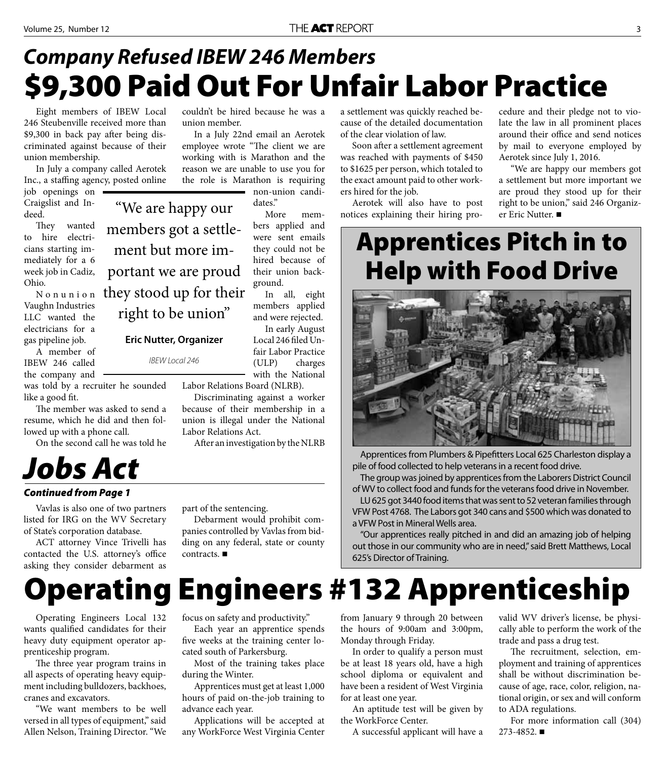### **\$9,300 Paid Out For Unfair Labor Practice** *Company Refused IBEW 246 Members*

Eight members of IBEW Local 246 Steubenville received more than \$9,300 in back pay after being discriminated against because of their union membership.

In July a company called Aerotek Inc., a staffing agency, posted online

"We are happy our

members got a settle-

ment but more im-

portant we are proud

they stood up for their

right to be union"

**Eric Nutter, Organizer**

*IBEW Local 246*

job openings on Craigslist and Indeed.

They wanted to hire electricians starting immediately for a 6 week job in Cadiz, Ohio.

N o n u n i o n Vaughn Industries LLC wanted the electricians for a gas pipeline job.

A member of IBEW 246 called the company and

was told by a recruiter he sounded like a good fit.

The member was asked to send a resume, which he did and then followed up with a phone call.

On the second call he was told he

### *Jobs Act*

### *Continued from Page 1*

Vavlas is also one of two partners listed for IRG on the WV Secretary of State's corporation database.

ACT attorney Vince Trivelli has contacted the U.S. attorney's office asking they consider debarment as

Operating Engineers Local 132 wants qualified candidates for their heavy duty equipment operator apprenticeship program.

The three year program trains in all aspects of operating heavy equipment including bulldozers, backhoes, cranes and excavators.

"We want members to be well versed in all types of equipment," said Allen Nelson, Training Director. "We couldn't be hired because he was a union member.

In a July 22nd email an Aerotek employee wrote "The client we are working with is Marathon and the reason we are unable to use you for the role is Marathon is requiring non-union candi-

dates."

More members applied and were sent emails they could not be hired because of their union background.

In all, eight members applied and were rejected.

In early August Local 246 filed Unfair Labor Practice (ULP) charges with the National

Labor Relations Board (NLRB).

Discriminating against a worker because of their membership in a union is illegal under the National Labor Relations Act.

After an investigation by the NLRB

### part of the sentencing.

Debarment would prohibit companies controlled by Vavlas from bidding on any federal, state or county contracts.

### a settlement was quickly reached because of the detailed documentation of the clear violation of law.

Soon after a settlement agreement was reached with payments of \$450 to \$1625 per person, which totaled to the exact amount paid to other workers hired for the job.

Aerotek will also have to post notices explaining their hiring procedure and their pledge not to violate the law in all prominent places around their office and send notices by mail to everyone employed by Aerotek since July 1, 2016.

"We are happy our members got a settlement but more important we are proud they stood up for their right to be union," said 246 Organizer Eric Nutter.

### **Apprentices Pitch in to Help with Food Drive**



Apprentices from Plumbers & Pipefitters Local 625 Charleston display a pile of food collected to help veterans in a recent food drive.

The group was joined by apprentices from the Laborers District Council of WV to collect food and funds for the veterans food drive in November.

LU 625 got 3440 food items that was sent to 52 veteran families through VFW Post 4768. The Labors got 340 cans and \$500 which was donated to a VFW Post in Mineral Wells area.

"Our apprentices really pitched in and did an amazing job of helping out those in our community who are in need," said Brett Matthews, Local 625's Director of Training.

## **Operating Engineers #132 Apprenticeship**

focus on safety and productivity."

Each year an apprentice spends five weeks at the training center located south of Parkersburg.

Most of the training takes place during the Winter.

Apprentices must get at least 1,000 hours of paid on-the-job training to advance each year.

Applications will be accepted at any WorkForce West Virginia Center from January 9 through 20 between the hours of 9:00am and 3:00pm, Monday through Friday.

In order to qualify a person must be at least 18 years old, have a high school diploma or equivalent and have been a resident of West Virginia for at least one year.

An aptitude test will be given by the WorkForce Center.

A successful applicant will have a

valid WV driver's license, be physically able to perform the work of the trade and pass a drug test.

The recruitment, selection, employment and training of apprentices shall be without discrimination because of age, race, color, religion, national origin, or sex and will conform to ADA regulations.

For more information call (304) 273-4852.